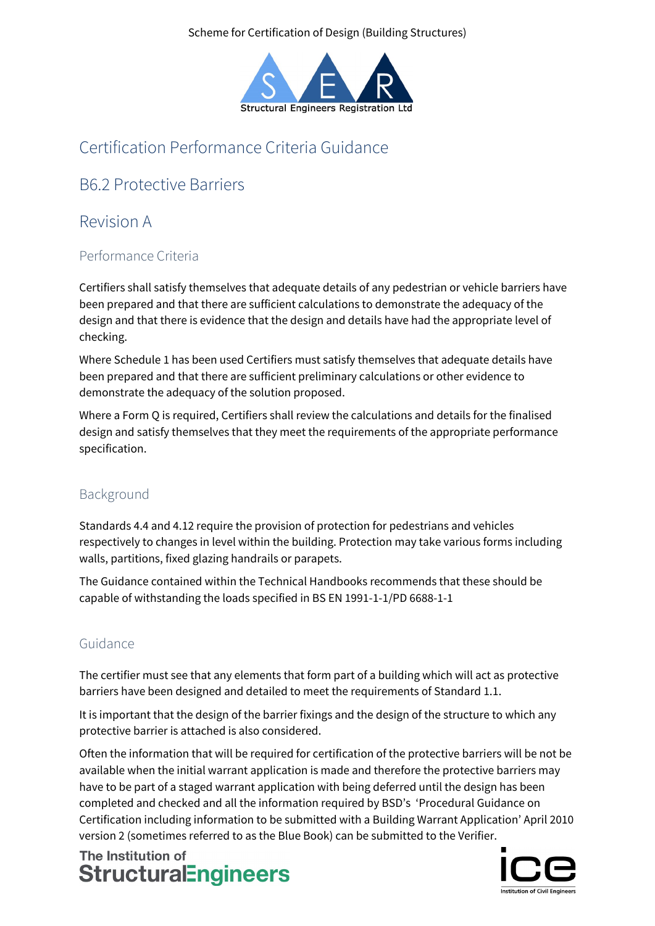Scheme for Certification of Design (Building Structures)



# Certification Performance Criteria Guidance

# B6.2 Protective Barriers

## Revision A

### Performance Criteria

Certifiers shall satisfy themselves that adequate details of any pedestrian or vehicle barriers have been prepared and that there are sufficient calculations to demonstrate the adequacy of the design and that there is evidence that the design and details have had the appropriate level of checking.

Where Schedule 1 has been used Certifiers must satisfy themselves that adequate details have been prepared and that there are sufficient preliminary calculations or other evidence to demonstrate the adequacy of the solution proposed.

Where a Form Q is required, Certifiers shall review the calculations and details for the finalised design and satisfy themselves that they meet the requirements of the appropriate performance specification.

### Background

Standards 4.4 and 4.12 require the provision of protection for pedestrians and vehicles respectively to changes in level within the building. Protection may take various forms including walls, partitions, fixed glazing handrails or parapets.

The Guidance contained within the Technical Handbooks recommends that these should be capable of withstanding the loads specified in BS EN 1991-1-1/PD 6688-1-1

#### Guidance

The certifier must see that any elements that form part of a building which will act as protective barriers have been designed and detailed to meet the requirements of Standard 1.1.

It is important that the design of the barrier fixings and the design of the structure to which any protective barrier is attached is also considered.

Often the information that will be required for certification of the protective barriers will be not be available when the initial warrant application is made and therefore the protective barriers may have to be part of a staged warrant application with being deferred until the design has been completed and checked and all the information required by BSD's 'Procedural Guidance on Certification including information to be submitted with a Building Warrant Application' April 2010 version 2 (sometimes referred to as the Blue Book) can be submitted to the Verifier.

## The Institution of **StructuralEngineers**

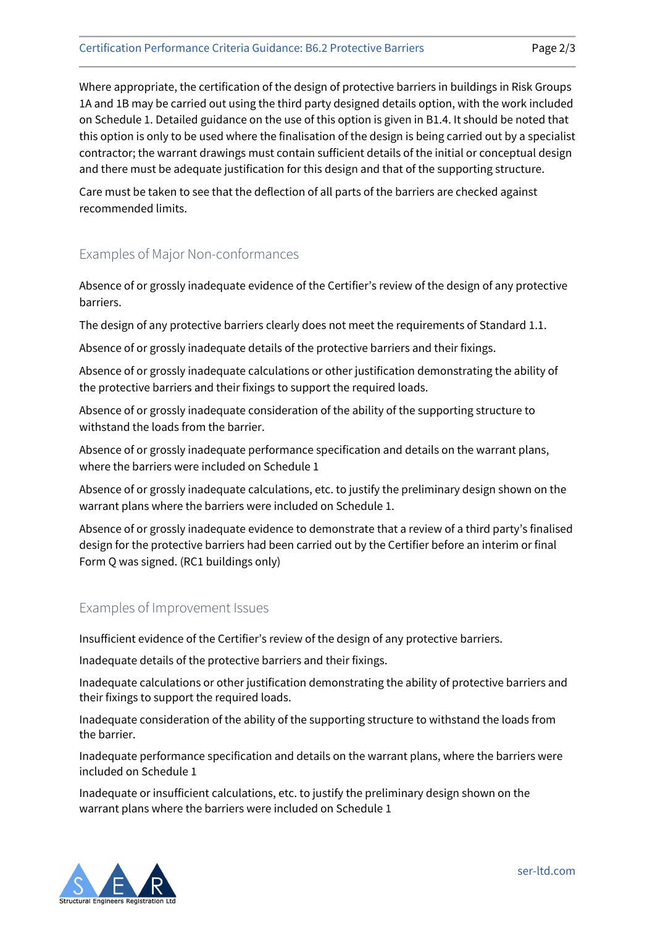Where appropriate, the certification of the design of protective barriers in buildings in Risk Groups 1A and 1B may be carried out using the third party designed details option, with the work included on Schedule 1. Detailed guidance on the use of this option is given in B1.4. It should be noted that this option is only to be used where the finalisation of the design is being carried out by a specialist contractor; the warrant drawings must contain sufficient details of the initial or conceptual design and there must be adequate justification for this design and that of the supporting structure.

Care must be taken to see that the deflection of all parts of the barriers are checked against recommended limits.

#### Examples of Major Non-conformances

Absence of or grossly inadequate evidence of the Certifier's review of the design of any protective barriers.

The design of any protective barriers clearly does not meet the requirements of Standard 1.1.

Absence of or grossly inadequate details of the protective barriers and their fixings.

Absence of or grossly inadequate calculations or other justification demonstrating the ability of the protective barriers and their fixings to support the required loads.

Absence of or grossly inadequate consideration of the ability of the supporting structure to withstand the loads from the barrier.

Absence of or grossly inadequate performance specification and details on the warrant plans, where the barriers were included on Schedule 1

Absence of or grossly inadequate calculations, etc. to justify the preliminary design shown on the warrant plans where the barriers were included on Schedule 1.

Absence of or grossly inadequate evidence to demonstrate that a review of a third party's finalised design for the protective barriers had been carried out by the Certifier before an interim or final Form Q was signed. (RC1 buildings only)

#### Examples of Improvement Issues

Insufficient evidence of the Certifier's review of the design of any protective barriers.

Inadequate details of the protective barriers and their fixings.

Inadequate calculations or other justification demonstrating the ability of protective barriers and their fixings to support the required loads.

Inadequate consideration of the ability of the supporting structure to withstand the loads from the barrier.

Inadequate performance specification and details on the warrant plans, where the barriers were included on Schedule 1

Inadequate or insufficient calculations, etc. to justify the preliminary design shown on the warrant plans where the barriers were included on Schedule 1